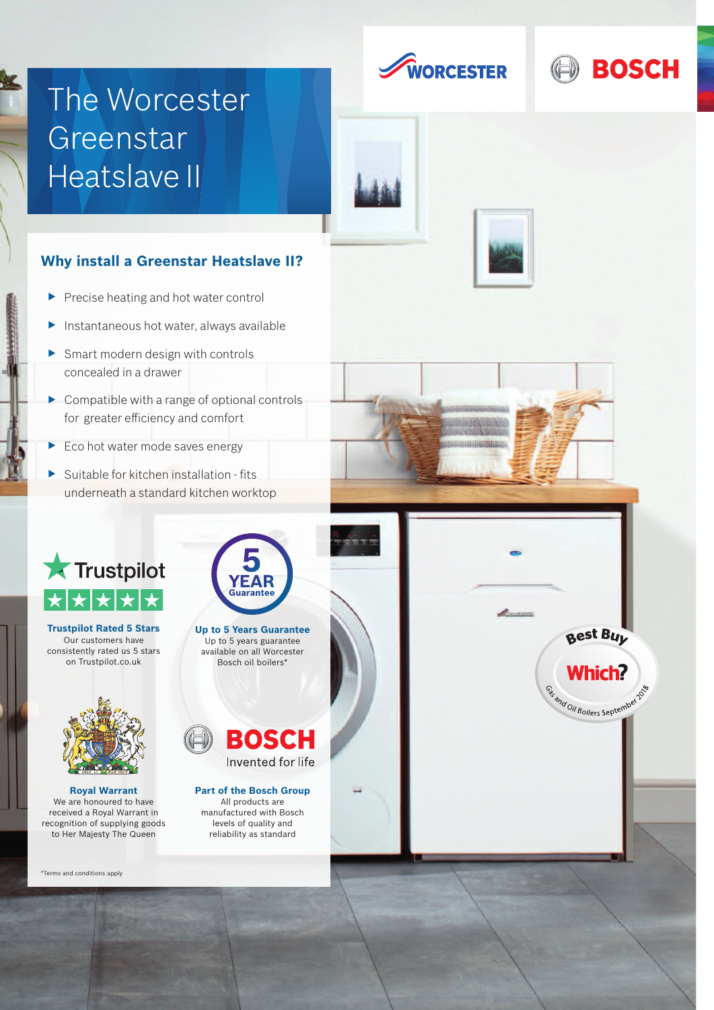



# The Worcester Greenstar Heatslave II

### **Why install a Greenstar Heatslave II?**

- **Figure 1** Precise heating and hot water control
- $\blacktriangleright$  Instantaneous hot water, always available
- $\blacktriangleright$  Smart modern design with controls concealed in a drawer
- $\triangleright$  Compatible with a range of optional controls for greater efficiency and comfort
- $\blacktriangleright$  Eco hot water mode saves energy
- $\blacktriangleright$  Suitable for kitchen installation fits underneath a standard kitchen worktop



**Trustpilot Rated 5 Stars** Our customers have consistently rated us 5 stars on Trustpilot.co.uk



**Royal Warrant** We are honoured to have received a Royal Warrant in recognition of supplying goods to Her Majesty The Queen



**Up to 5 Years Guarantee** Up to 5 years guarantee available on all Worcester Bosch oil boilers\*



**Part of the Bosch Group** All products are manufactured with Bosch levels of quality and reliability as standard